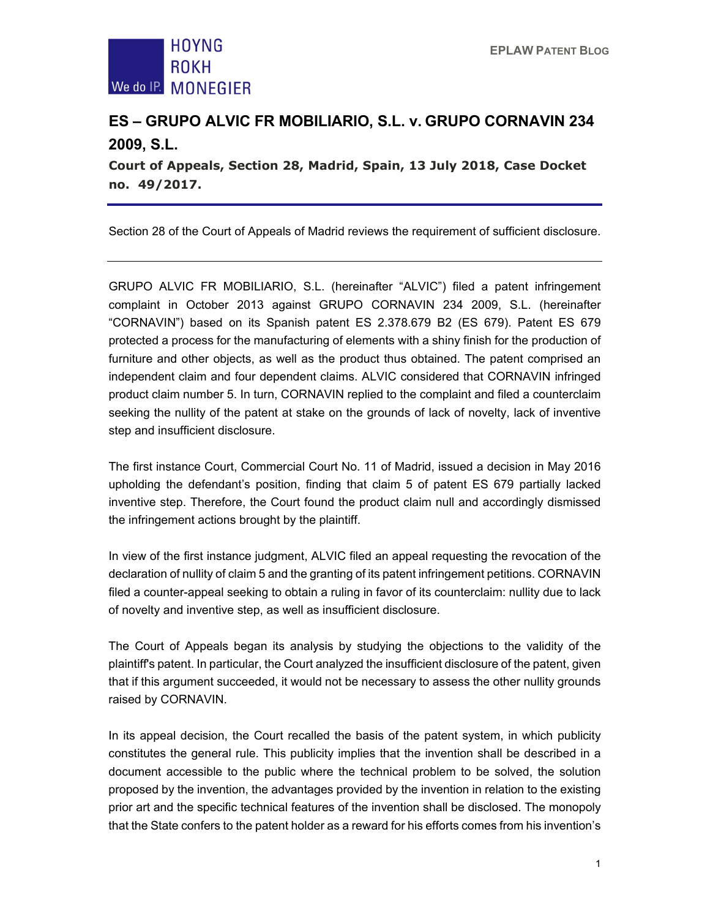

## **ES – GRUPO ALVIC FR MOBILIARIO, S.L. v. GRUPO CORNAVIN 234 2009, S.L.**

**Court of Appeals, Section 28, Madrid, Spain, 13 July 2018, Case Docket no. 49/2017.** 

Section 28 of the Court of Appeals of Madrid reviews the requirement of sufficient disclosure.

GRUPO ALVIC FR MOBILIARIO, S.L. (hereinafter "ALVIC") filed a patent infringement complaint in October 2013 against GRUPO CORNAVIN 234 2009, S.L. (hereinafter "CORNAVIN") based on its Spanish patent ES 2.378.679 B2 (ES 679). Patent ES 679 protected a process for the manufacturing of elements with a shiny finish for the production of furniture and other objects, as well as the product thus obtained. The patent comprised an independent claim and four dependent claims. ALVIC considered that CORNAVIN infringed product claim number 5. In turn, CORNAVIN replied to the complaint and filed a counterclaim seeking the nullity of the patent at stake on the grounds of lack of novelty, lack of inventive step and insufficient disclosure.

The first instance Court, Commercial Court No. 11 of Madrid, issued a decision in May 2016 upholding the defendant's position, finding that claim 5 of patent ES 679 partially lacked inventive step. Therefore, the Court found the product claim null and accordingly dismissed the infringement actions brought by the plaintiff.

In view of the first instance judgment, ALVIC filed an appeal requesting the revocation of the declaration of nullity of claim 5 and the granting of its patent infringement petitions. CORNAVIN filed a counter-appeal seeking to obtain a ruling in favor of its counterclaim: nullity due to lack of novelty and inventive step, as well as insufficient disclosure.

The Court of Appeals began its analysis by studying the objections to the validity of the plaintiff's patent. In particular, the Court analyzed the insufficient disclosure of the patent, given that if this argument succeeded, it would not be necessary to assess the other nullity grounds raised by CORNAVIN.

In its appeal decision, the Court recalled the basis of the patent system, in which publicity constitutes the general rule. This publicity implies that the invention shall be described in a document accessible to the public where the technical problem to be solved, the solution proposed by the invention, the advantages provided by the invention in relation to the existing prior art and the specific technical features of the invention shall be disclosed. The monopoly that the State confers to the patent holder as a reward for his efforts comes from his invention's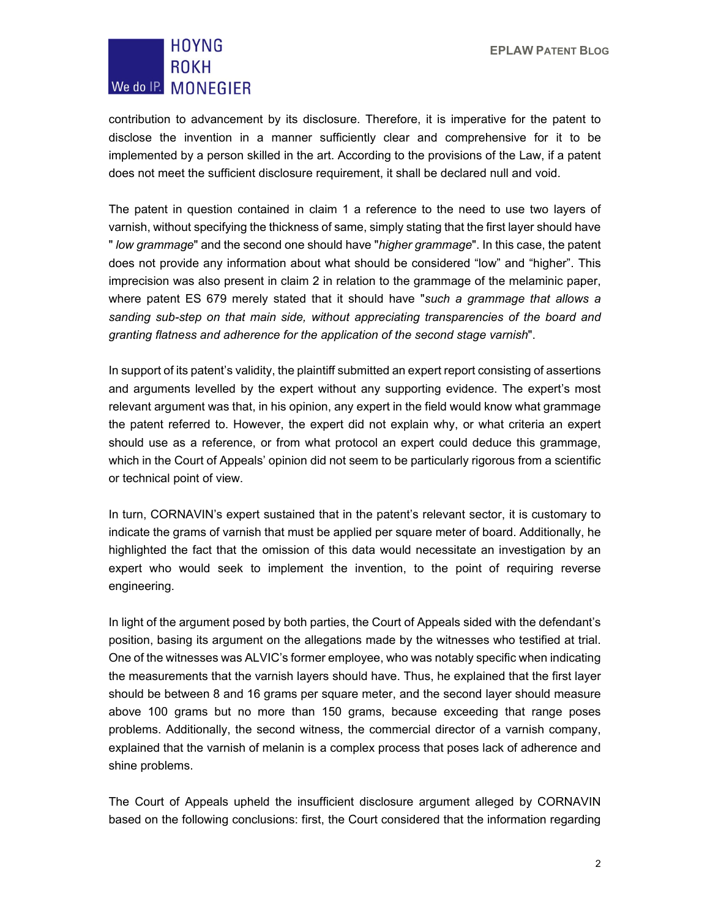## **HOYNG ROKH** We do IP. MONEGIER

contribution to advancement by its disclosure. Therefore, it is imperative for the patent to disclose the invention in a manner sufficiently clear and comprehensive for it to be implemented by a person skilled in the art. According to the provisions of the Law, if a patent does not meet the sufficient disclosure requirement, it shall be declared null and void.

The patent in question contained in claim 1 a reference to the need to use two layers of varnish, without specifying the thickness of same, simply stating that the first layer should have " *low grammage*" and the second one should have "*higher grammage*". In this case, the patent does not provide any information about what should be considered "low" and "higher". This imprecision was also present in claim 2 in relation to the grammage of the melaminic paper, where patent ES 679 merely stated that it should have "*such a grammage that allows a sanding sub-step on that main side, without appreciating transparencies of the board and granting flatness and adherence for the application of the second stage varnish*".

In support of its patent's validity, the plaintiff submitted an expert report consisting of assertions and arguments levelled by the expert without any supporting evidence. The expert's most relevant argument was that, in his opinion, any expert in the field would know what grammage the patent referred to. However, the expert did not explain why, or what criteria an expert should use as a reference, or from what protocol an expert could deduce this grammage, which in the Court of Appeals' opinion did not seem to be particularly rigorous from a scientific or technical point of view.

In turn, CORNAVIN's expert sustained that in the patent's relevant sector, it is customary to indicate the grams of varnish that must be applied per square meter of board. Additionally, he highlighted the fact that the omission of this data would necessitate an investigation by an expert who would seek to implement the invention, to the point of requiring reverse engineering.

In light of the argument posed by both parties, the Court of Appeals sided with the defendant's position, basing its argument on the allegations made by the witnesses who testified at trial. One of the witnesses was ALVIC's former employee, who was notably specific when indicating the measurements that the varnish layers should have. Thus, he explained that the first layer should be between 8 and 16 grams per square meter, and the second layer should measure above 100 grams but no more than 150 grams, because exceeding that range poses problems. Additionally, the second witness, the commercial director of a varnish company, explained that the varnish of melanin is a complex process that poses lack of adherence and shine problems.

The Court of Appeals upheld the insufficient disclosure argument alleged by CORNAVIN based on the following conclusions: first, the Court considered that the information regarding